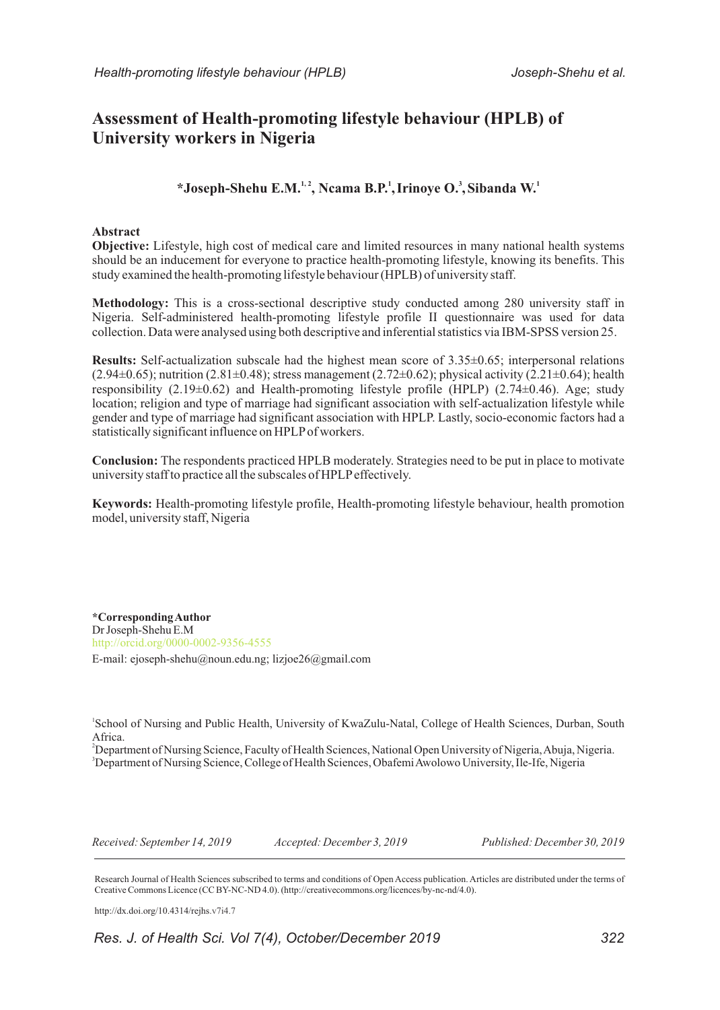# **Assessment of Health-promoting lifestyle behaviour (HPLB) of University workers in Nigeria**

# **1, 2 1 3 1 \*Joseph-Shehu E.M. , Ncama B.P. ,Irinoye O. ,Sibanda W.**

# **Abstract**

**Objective:** Lifestyle, high cost of medical care and limited resources in many national health systems should be an inducement for everyone to practice health-promoting lifestyle, knowing its benefits. This study examined the health-promoting lifestyle behaviour (HPLB) of university staff.

**Methodology:** This is a cross-sectional descriptive study conducted among 280 university staff in Nigeria. Self-administered health-promoting lifestyle profile II questionnaire was used for data collection. Data were analysed using both descriptive and inferential statistics via IBM-SPSS version 25.

**Results:** Self-actualization subscale had the highest mean score of 3.35±0.65; interpersonal relations  $(2.94\pm0.65)$ ; nutrition  $(2.81\pm0.48)$ ; stress management  $(2.72\pm0.62)$ ; physical activity  $(2.21\pm0.64)$ ; health responsibility (2.19±0.62) and Health-promoting lifestyle profile (HPLP) (2.74±0.46). Age; study location; religion and type of marriage had significant association with self-actualization lifestyle while gender and type of marriage had significant association with HPLP. Lastly, socio-economic factors had a statistically significant influence on HPLPof workers.

**Conclusion:** The respondents practiced HPLB moderately. Strategies need to be put in place to motivate university staff to practice all the subscales of HPLPeffectively.

**Keywords:** Health-promoting lifestyle profile, Health-promoting lifestyle behaviour, health promotion model, university staff, Nigeria

**\*Corresponding Author** Dr Joseph-Shehu E.M http://orcid.org/0000-0002-9356-4555 E-mail: ejoseph-shehu@noun.edu.ng; lizjoe26@gmail.com

1 School of Nursing and Public Health, University of KwaZulu-Natal, College of Health Sciences, Durban, South Africa.

<sup>2</sup>Department of Nursing Science, Faculty of Health Sciences, National Open University of Nigeria, Abuja, Nigeria. <sup>3</sup>Department of Nursing Science, College of Health Sciences, Obafemi Awolowo University, Ile-Ife, Nigeria

*Received: September 14, 2019 Accepted: December 3, 2019 Published: December 30, 2019*

Research Journal of Health Sciences subscribed to terms and conditions of Open Access publication. Articles are distributed under the terms of Creative Commons Licence (CC BY-NC-ND 4.0). (http://creativecommons.org/licences/by-nc-nd/4.0).

http://dx.doi.org/10.4314/rejhs.v7i4.7

*Res. J. of Health Sci. Vol 7(4), October/December 2019 322*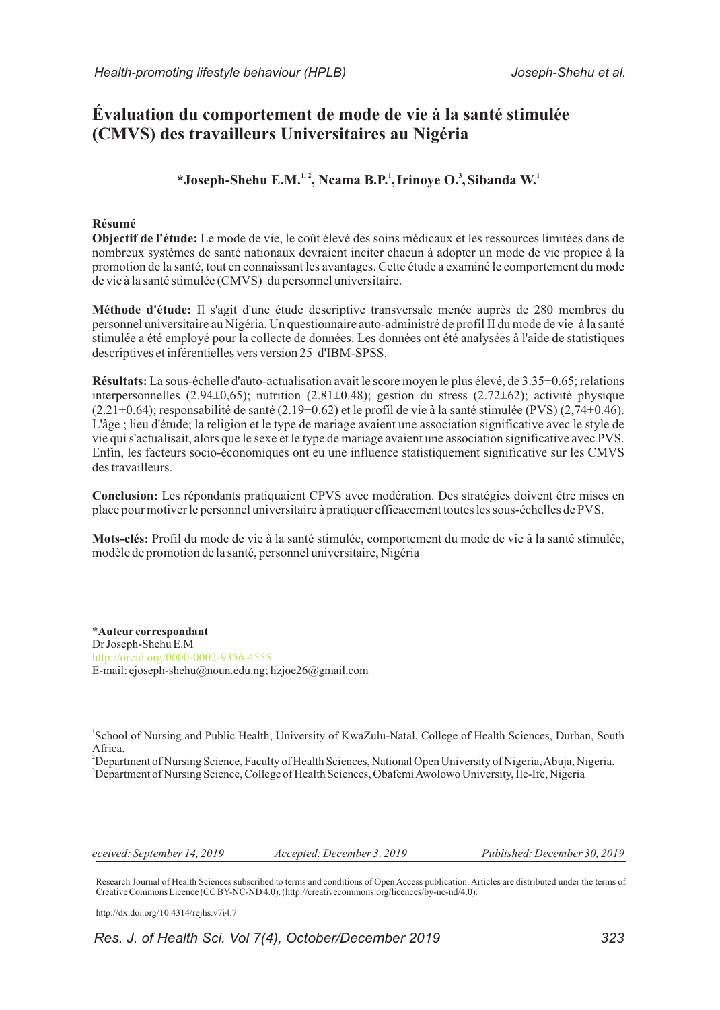# **Évaluation du comportement de mode de vie à la santé stimulée (CMVS) des travailleurs Universitaires au Nigéria**

# **1, 2 1 3 1 \*Joseph-Shehu E.M. , Ncama B.P. ,Irinoye O. ,Sibanda W.**

# **Résumé**

**Objectif de l'étude:** Le mode de vie, le coût élevé des soins médicaux et les ressources limitées dans de nombreux systèmes de santé nationaux devraient inciter chacun à adopter un mode de vie propice à la promotion de la santé, tout en connaissant les avantages. Cette étude a examiné le comportement du mode de vie à la santé stimulée (CMVS) du personnel universitaire.

**Méthode d'étude:** Il s'agit d'une étude descriptive transversale menée auprès de 280 membres du personnel universitaire au Nigéria. Un questionnaire auto-administré de profil II du mode de vie à la santé stimulée a été employé pour la collecte de données. Les données ont été analysées à l'aide de statistiques descriptives et inférentielles vers version 25 d'IBM-SPSS.

**Résultats:** La sous-échelle d'auto-actualisation avait le score moyen le plus élevé, de 3.35±0.65; relations interpersonnelles (2.94±0,65); nutrition (2.81±0.48); gestion du stress (2.72±62); activité physique  $(2.21\pm0.64)$ ; responsabilité de santé  $(2.19\pm0.62)$  et le profil de vie à la santé stimulée (PVS)  $(2.74\pm0.46)$ . L'âge ; lieu d'étude; la religion et le type de mariage avaient une association significative avec le style de vie qui s'actualisait, alors que le sexe et le type de mariage avaient une association significative avec PVS. Enfin, les facteurs socio-économiques ont eu une influence statistiquement significative sur les CMVS des travailleurs.

**Conclusion:** Les répondants pratiquaient CPVS avec modération. Des stratégies doivent être mises en place pour motiver le personnel universitaire à pratiquer efficacement toutes les sous-échelles de PVS.

**Mots-clés:** Profil du mode de vie à la santé stimulée, comportement du mode de vie à la santé stimulée, modèle de promotion de la santé, personnel universitaire, Nigéria

**\*Auteur correspondant** Dr Joseph-Shehu E.M http://orcid.org/0000-0002-9356-4555 E-mail: ejoseph-shehu@noun.edu.ng; lizjoe26@gmail.com

1 School of Nursing and Public Health, University of KwaZulu-Natal, College of Health Sciences, Durban, South Africa.

<sup>2</sup>Department of Nursing Science, Faculty of Health Sciences, National Open University of Nigeria, Abuja, Nigeria. <sup>3</sup>Department of Nursing Science, College of Health Sciences, Obafemi Awolowo University, Ile-Ife, Nigeria

*eceived: September 14, 2019 Accepted: December 3, 2019 Published: December 30, 2019*

Research Journal of Health Sciences subscribed to terms and conditions of Open Access publication. Articles are distributed under the terms of Creative Commons Licence (CC BY-NC-ND 4.0). (http://creativecommons.org/licences/by-nc-nd/4.0).

http://dx.doi.org/10.4314/rejhs.v7i4.7

*Res. J. of Health Sci. Vol 7(4), October/December 2019 323*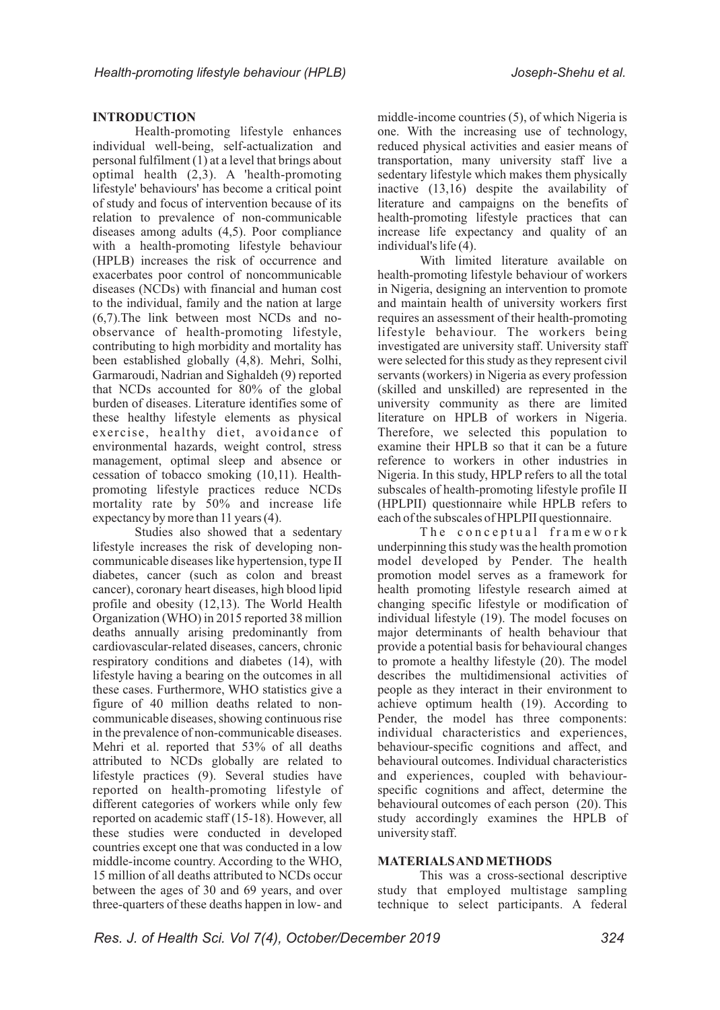# **INTRODUCTION**

Health-promoting lifestyle enhances individual well-being, self-actualization and personal fulfilment (1) at a level that brings about optimal health (2,3). A 'health-promoting lifestyle' behaviours' has become a critical point of study and focus of intervention because of its relation to prevalence of non-communicable diseases among adults (4,5). Poor compliance with a health-promoting lifestyle behaviour (HPLB) increases the risk of occurrence and exacerbates poor control of noncommunicable diseases (NCDs) with financial and human cost to the individual, family and the nation at large (6,7).The link between most NCDs and noobservance of health-promoting lifestyle, contributing to high morbidity and mortality has been established globally (4,8). Mehri, Solhi, Garmaroudi, Nadrian and Sighaldeh (9) reported that NCDs accounted for 80% of the global burden of diseases. Literature identifies some of these healthy lifestyle elements as physical exercise, healthy diet, avoidance of environmental hazards, weight control, stress management, optimal sleep and absence or cessation of tobacco smoking (10,11). Healthpromoting lifestyle practices reduce NCDs mortality rate by 50% and increase life expectancy by more than 11 years (4).

Studies also showed that a sedentary lifestyle increases the risk of developing noncommunicable diseases like hypertension, type II diabetes, cancer (such as colon and breast cancer), coronary heart diseases, high blood lipid profile and obesity (12,13). The World Health Organization (WHO) in 2015 reported 38 million deaths annually arising predominantly from cardiovascular-related diseases, cancers, chronic respiratory conditions and diabetes (14), with lifestyle having a bearing on the outcomes in all these cases. Furthermore, WHO statistics give a figure of 40 million deaths related to noncommunicable diseases, showing continuous rise in the prevalence of non-communicable diseases. Mehri et al. reported that 53% of all deaths attributed to NCDs globally are related to lifestyle practices (9). Several studies have reported on health-promoting lifestyle of different categories of workers while only few reported on academic staff (15-18). However, all these studies were conducted in developed countries except one that was conducted in a low middle-income country. According to the WHO, 15 million of all deaths attributed to NCDs occur between the ages of 30 and 69 years, and over three-quarters of these deaths happen in low- and

middle-income countries (5), of which Nigeria is one. With the increasing use of technology, reduced physical activities and easier means of transportation, many university staff live a sedentary lifestyle which makes them physically inactive (13,16) despite the availability of literature and campaigns on the benefits of health-promoting lifestyle practices that can increase life expectancy and quality of an individual's life (4).

With limited literature available on health-promoting lifestyle behaviour of workers in Nigeria, designing an intervention to promote and maintain health of university workers first requires an assessment of their health-promoting lifestyle behaviour. The workers being investigated are university staff. University staff were selected for this study as they represent civil servants (workers) in Nigeria as every profession (skilled and unskilled) are represented in the university community as there are limited literature on HPLB of workers in Nigeria. Therefore, we selected this population to examine their HPLB so that it can be a future reference to workers in other industries in Nigeria. In this study, HPLP refers to all the total subscales of health-promoting lifestyle profile II (HPLPII) questionnaire while HPLB refers to each of the subscales of HPLPII questionnaire.

The conceptual framework underpinning this study was the health promotion model developed by Pender. The health promotion model serves as a framework for health promoting lifestyle research aimed at changing specific lifestyle or modification of individual lifestyle (19). The model focuses on major determinants of health behaviour that provide a potential basis for behavioural changes to promote a healthy lifestyle (20). The model describes the multidimensional activities of people as they interact in their environment to achieve optimum health (19). According to Pender, the model has three components: individual characteristics and experiences, behaviour-specific cognitions and affect, and behavioural outcomes. Individual characteristics and experiences, coupled with behaviourspecific cognitions and affect, determine the behavioural outcomes of each person (20). This study accordingly examines the HPLB of university staff.

# **MATERIALS AND METHODS**

This was a cross-sectional descriptive study that employed multistage sampling technique to select participants. A federal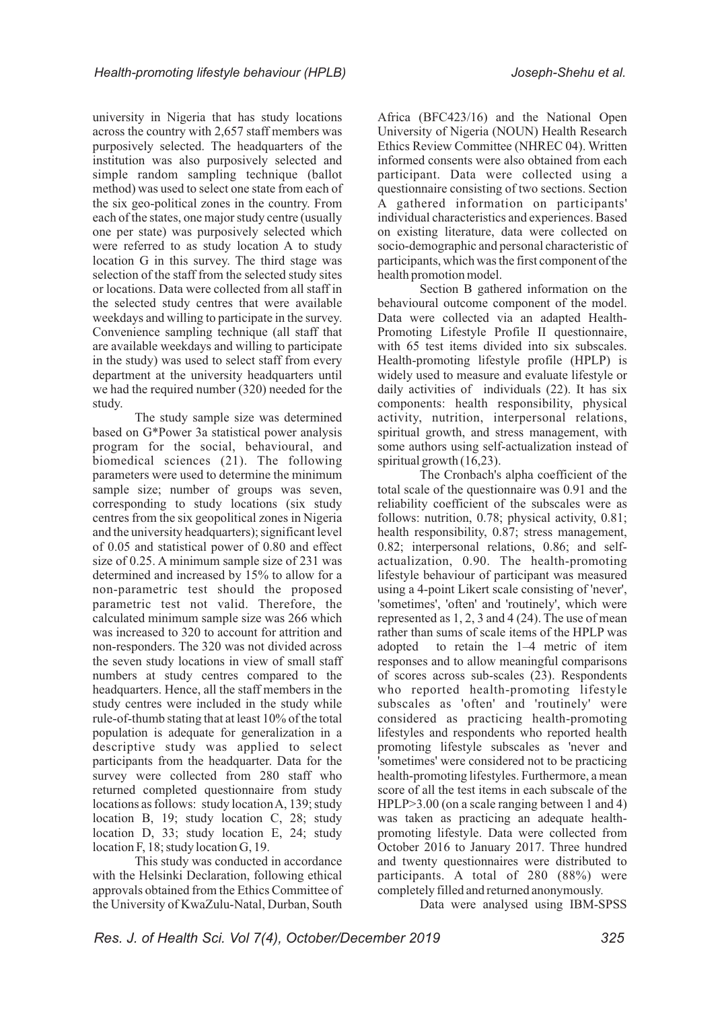university in Nigeria that has study locations across the country with 2,657 staff members was purposively selected. The headquarters of the institution was also purposively selected and simple random sampling technique (ballot method) was used to select one state from each of the six geo-political zones in the country. From each of the states, one major study centre (usually one per state) was purposively selected which were referred to as study location A to study location G in this survey. The third stage was selection of the staff from the selected study sites or locations. Data were collected from all staff in the selected study centres that were available weekdays and willing to participate in the survey. Convenience sampling technique (all staff that are available weekdays and willing to participate in the study) was used to select staff from every department at the university headquarters until we had the required number (320) needed for the study.

The study sample size was determined based on G\*Power 3a statistical power analysis program for the social, behavioural, and biomedical sciences (21). The following parameters were used to determine the minimum sample size; number of groups was seven, corresponding to study locations (six study centres from the six geopolitical zones in Nigeria and the university headquarters); significant level of 0.05 and statistical power of 0.80 and effect size of 0.25. A minimum sample size of 231 was determined and increased by 15% to allow for a non-parametric test should the proposed parametric test not valid. Therefore, the calculated minimum sample size was 266 which was increased to 320 to account for attrition and non-responders. The 320 was not divided across the seven study locations in view of small staff numbers at study centres compared to the headquarters. Hence, all the staff members in the study centres were included in the study while rule-of-thumb stating that at least 10% of the total population is adequate for generalization in a descriptive study was applied to select participants from the headquarter. Data for the survey were collected from 280 staff who returned completed questionnaire from study locations as follows: study location A, 139; study location B, 19; study location C, 28; study location D, 33; study location E, 24; study location F, 18; study location G, 19.

This study was conducted in accordance with the Helsinki Declaration, following ethical approvals obtained from the Ethics Committee of the University of KwaZulu-Natal, Durban, South Africa (BFC423/16) and the National Open University of Nigeria (NOUN) Health Research Ethics Review Committee (NHREC 04). Written informed consents were also obtained from each participant. Data were collected using a questionnaire consisting of two sections. Section A gathered information on participants' individual characteristics and experiences. Based on existing literature, data were collected on socio-demographic and personal characteristic of participants, which was the first component of the health promotion model.

Section B gathered information on the behavioural outcome component of the model. Data were collected via an adapted Health-Promoting Lifestyle Profile II questionnaire, with 65 test items divided into six subscales. Health-promoting lifestyle profile (HPLP) is widely used to measure and evaluate lifestyle or daily activities of individuals (22). It has six components: health responsibility, physical activity, nutrition, interpersonal relations, spiritual growth, and stress management, with some authors using self-actualization instead of spiritual growth (16,23).

The Cronbach's alpha coefficient of the total scale of the questionnaire was 0.91 and the reliability coefficient of the subscales were as follows: nutrition, 0.78; physical activity, 0.81; health responsibility, 0.87; stress management, 0.82; interpersonal relations, 0.86; and selfactualization, 0.90. The health-promoting lifestyle behaviour of participant was measured using a 4-point Likert scale consisting of 'never', 'sometimes', 'often' and 'routinely', which were represented as 1, 2, 3 and 4 (24). The use of mean rather than sums of scale items of the HPLP was adopted to retain the 1–4 metric of item responses and to allow meaningful comparisons of scores across sub-scales (23). Respondents who reported health-promoting lifestyle subscales as 'often' and 'routinely' were considered as practicing health-promoting lifestyles and respondents who reported health promoting lifestyle subscales as 'never and 'sometimes' were considered not to be practicing health-promoting lifestyles. Furthermore, a mean score of all the test items in each subscale of the HPLP>3.00 (on a scale ranging between 1 and 4) was taken as practicing an adequate healthpromoting lifestyle. Data were collected from October 2016 to January 2017. Three hundred and twenty questionnaires were distributed to participants. A total of 280 (88%) were completely filled and returned anonymously.

Data were analysed using IBM-SPSS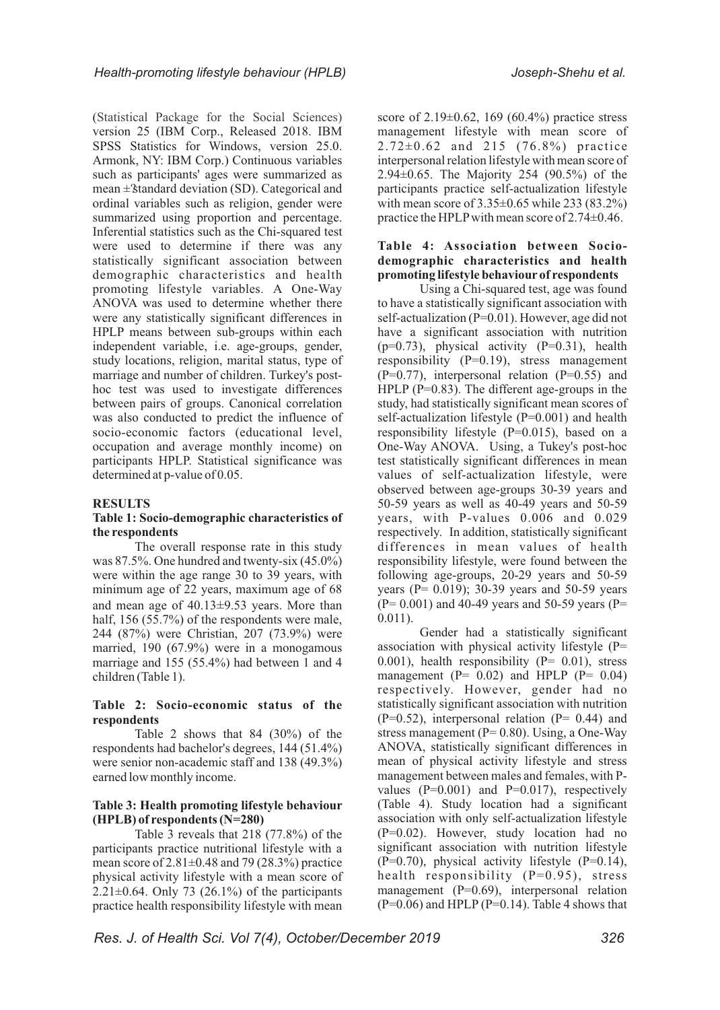( Statistical Package for the Social Sciences) version 25 (IBM Corp., Released 2018. IBM SPSS Statistics for Windows, version 25.0. Armonk, NY: IBM Corp.) Continuous variables such as participants' ages were summarized as mean  $\pm$  3 standard deviation (SD). Categorical and ordinal variables such as religion, gender were summarized using proportion and percentage. Inferential statistics such as the Chi-squared test were used to determine if there was any statistically significant association between demographic characteristics and health promoting lifestyle variables. A One-Way ANOVA was used to determine whether there were any statistically significant differences in HPLP means between sub-groups within each independent variable, i.e. age-groups, gender, study locations, religion, marital status, type of marriage and number of children. Turkey's posthoc test was used to investigate differences between pairs of groups. Canonical correlation was also conducted to predict the influence of socio-economic factors (educational level, occupation and average monthly income) on participants HPLP. Statistical significance was determined at p-value of 0.05.

#### **RESULTS**

#### **Table 1: Socio-demographic characteristics of the respondents**

The overall response rate in this study was 87.5%. One hundred and twenty-six (45.0%) were within the age range 30 to 39 years, with minimum age of 22 years, maximum age of 68 and mean age of 40.13±9.53 years. More than half, 156 (55.7%) of the respondents were male, 244 (87%) were Christian, 207 (73.9%) were married, 190 (67.9%) were in a monogamous marriage and 155 (55.4%) had between 1 and 4 children (Table 1).

# **Table 2: Socio-economic status of the respondents**

Table 2 shows that 84 (30%) of the respondents had bachelor's degrees, 144 (51.4%) were senior non-academic staff and 138 (49.3%) earned low monthly income.

#### **Table 3: Health promoting lifestyle behaviour (HPLB) of respondents (N=280)**

Table 3 reveals that 218 (77.8%) of the participants practice nutritional lifestyle with a mean score of 2.81±0.48 and 79 (28.3%) practice physical activity lifestyle with a mean score of  $2.21\pm0.64$ . Only 73 (26.1%) of the participants practice health responsibility lifestyle with mean

score of  $2.19\pm0.62$ , 169 (60.4%) practice stress management lifestyle with mean score of 2.72±0.62 and 215 (76.8%) practice interpersonal relation lifestyle with mean score of 2.94±0.65. The Majority 254 (90.5%) of the participants practice self-actualization lifestyle with mean score of 3.35±0.65 while 233 (83.2%) practice the HPLPwith mean score of 2.74±0.46.

# **Table 4: Association between Sociodemographic characteristics and health promoting lifestyle behaviour of respondents**

Using a Chi-squared test, age was found to have a statistically significant association with self-actualization (P=0.01). However, age did not have a significant association with nutrition  $(p=0.73)$ , physical activity  $(P=0.31)$ , health responsibility  $(P=0.19)$ , stress management  $(P=0.77)$ , interpersonal relation  $(P=0.55)$  and HPLP (P=0.83). The different age-groups in the study, had statistically significant mean scores of self-actualization lifestyle (P=0.001) and health responsibility lifestyle (P=0.015), based on a One-Way ANOVA. Using, a Tukey's post-hoc test statistically significant differences in mean values of self-actualization lifestyle, were observed between age-groups 30-39 years and 50-59 years as well as 40-49 years and 50-59 years, with P-values 0.006 and 0.029 respectively. In addition, statistically significant differences in mean values of health responsibility lifestyle, were found between the following age-groups, 20-29 years and 50-59 years (P= 0.019); 30-39 years and 50-59 years  $(P= 0.001)$  and 40-49 years and 50-59 years (P= 0.011).

Gender had a statistically significant association with physical activity lifestyle (P= 0.001), health responsibility  $(P= 0.01)$ , stress management ( $P= 0.02$ ) and HPLP ( $P= 0.04$ ) respectively. However, gender had no statistically significant association with nutrition  $(P=0.52)$ , interpersonal relation  $(P= 0.44)$  and stress management ( $P= 0.80$ ). Using, a One-Way ANOVA, statistically significant differences in mean of physical activity lifestyle and stress management between males and females, with Pvalues  $(P=0.001)$  and  $P=0.017$ , respectively (Table 4). Study location had a significant association with only self-actualization lifestyle (P=0.02). However, study location had no significant association with nutrition lifestyle  $(P=0.70)$ , physical activity lifestyle  $(P=0.14)$ , health responsibility (P=0.95), stress management (P=0.69), interpersonal relation  $(P=0.06)$  and HPLP  $(P=0.14)$ . Table 4 shows that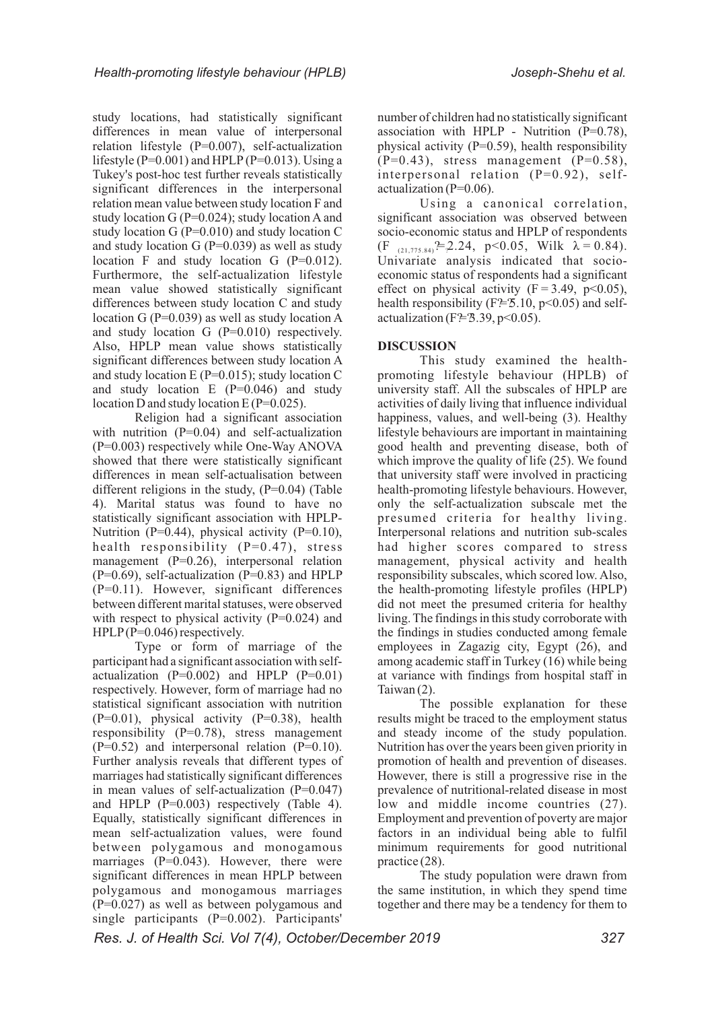study locations, had statistically significant differences in mean value of interpersonal relation lifestyle (P=0.007), self-actualization lifestyle (P=0.001) and HPLP (P=0.013). Using a Tukey's post-hoc test further reveals statistically significant differences in the interpersonal relation mean value between study location F and study location G (P=0.024); study location A and study location G (P=0.010) and study location C and study location G ( $P=0.039$ ) as well as study location F and study location G (P=0.012). Furthermore, the self-actualization lifestyle mean value showed statistically significant differences between study location C and study location G ( $P=0.039$ ) as well as study location A and study location G (P=0.010) respectively. Also, HPLP mean value shows statistically significant differences between study location A and study location E ( $P=0.015$ ); study location C and study location  $E(P=0.046)$  and study location D and study location  $E(P=0.025)$ .

Religion had a significant association with nutrition (P=0.04) and self-actualization (P=0.003) respectively while One-Way ANOVA showed that there were statistically significant differences in mean self-actualisation between different religions in the study,  $(P=0.04)$  (Table 4). Marital status was found to have no statistically significant association with HPLP-Nutrition (P=0.44), physical activity (P=0.10), health responsibility (P=0.47), stress management (P=0.26), interpersonal relation  $(P=0.69)$ , self-actualization  $(P=0.83)$  and HPLP (P=0.11). However, significant differences between different marital statuses, were observed with respect to physical activity  $(P=0.024)$  and HPLP(P=0.046) respectively.

Type or form of marriage of the participant had a significant association with selfactualization ( $P=0.002$ ) and HPLP ( $P=0.01$ ) respectively. However, form of marriage had no statistical significant association with nutrition  $(P=0.01)$ , physical activity  $(P=0.38)$ , health responsibility (P=0.78), stress management  $(P=0.52)$  and interpersonal relation  $(P=0.10)$ . Further analysis reveals that different types of marriages had statistically significant differences in mean values of self-actualization (P=0.047) and HPLP (P=0.003) respectively (Table 4). Equally, statistically significant differences in mean self-actualization values, were found between polygamous and monogamous marriages (P=0.043). However, there were significant differences in mean HPLP between polygamous and monogamous marriages (P=0.027) as well as between polygamous and single participants (P=0.002). Participants'

number of children had no statistically significant association with HPLP - Nutrition  $(P=0.78)$ , physical activity (P=0.59), health responsibility  $(P=0.43)$ , stress management  $(P=0.58)$ , interpersonal relation (P=0.92), selfactualization (P=0.06).

Using a canonical correlation, significant association was observed between socio-economic status and HPLP of respondents  $(F_{(21,775.84)} \cong 2.24, p<0.05,$  Wilk  $\lambda = 0.84$ ). Univariate analysis indicated that socioeconomic status of respondents had a significant effect on physical activity  $(F=3.49, p<0.05)$ , health responsibility ( $F \cong 5.10$ ,  $p < 0.05$ ) and selfactualization (F?= $3.39$ , p<0.05).

# **DISCUSSION**

This study examined the healthpromoting lifestyle behaviour (HPLB) of university staff. All the subscales of HPLP are activities of daily living that influence individual happiness, values, and well-being (3). Healthy lifestyle behaviours are important in maintaining good health and preventing disease, both of which improve the quality of life (25). We found that university staff were involved in practicing health-promoting lifestyle behaviours. However, only the self-actualization subscale met the presumed criteria for healthy living. Interpersonal relations and nutrition sub-scales had higher scores compared to stress management, physical activity and health responsibility subscales, which scored low. Also, the health-promoting lifestyle profiles (HPLP) did not meet the presumed criteria for healthy living. The findings in this study corroborate with the findings in studies conducted among female employees in Zagazig city, Egypt (26), and among academic staff in Turkey (16) while being at variance with findings from hospital staff in Taiwan (2).

The possible explanation for these results might be traced to the employment status and steady income of the study population. Nutrition has over the years been given priority in promotion of health and prevention of diseases. However, there is still a progressive rise in the prevalence of nutritional-related disease in most low and middle income countries (27). Employment and prevention of poverty are major factors in an individual being able to fulfil minimum requirements for good nutritional practice (28).

The study population were drawn from the same institution, in which they spend time together and there may be a tendency for them to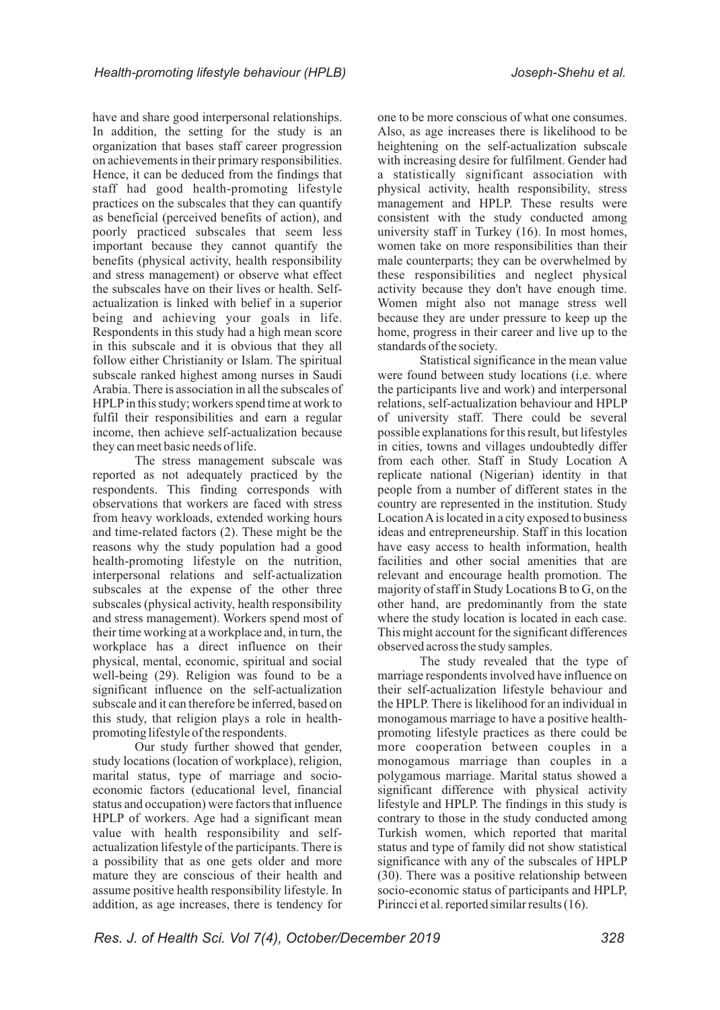have and share good interpersonal relationships. In addition, the setting for the study is an organization that bases staff career progression on achievements in their primary responsibilities. Hence, it can be deduced from the findings that staff had good health-promoting lifestyle practices on the subscales that they can quantify as beneficial (perceived benefits of action), and poorly practiced subscales that seem less important because they cannot quantify the benefits (physical activity, health responsibility and stress management) or observe what effect the subscales have on their lives or health. Selfactualization is linked with belief in a superior being and achieving your goals in life. Respondents in this study had a high mean score in this subscale and it is obvious that they all follow either Christianity or Islam. The spiritual subscale ranked highest among nurses in Saudi Arabia. There is association in all the subscales of HPLPin this study; workers spend time at work to fulfil their responsibilities and earn a regular income, then achieve self-actualization because they can meet basic needs of life.

The stress management subscale was reported as not adequately practiced by the respondents. This finding corresponds with observations that workers are faced with stress from heavy workloads, extended working hours and time-related factors (2). These might be the reasons why the study population had a good health-promoting lifestyle on the nutrition, interpersonal relations and self-actualization subscales at the expense of the other three subscales (physical activity, health responsibility and stress management). Workers spend most of their time working at a workplace and, in turn, the workplace has a direct influence on their physical, mental, economic, spiritual and social well-being (29). Religion was found to be a significant influence on the self-actualization subscale and it can therefore be inferred, based on this study, that religion plays a role in healthpromoting lifestyle of the respondents.

Our study further showed that gender, study locations (location of workplace), religion, marital status, type of marriage and socioeconomic factors (educational level, financial status and occupation) were factors that influence HPLP of workers. Age had a significant mean value with health responsibility and selfactualization lifestyle of the participants. There is a possibility that as one gets older and more mature they are conscious of their health and assume positive health responsibility lifestyle. In addition, as age increases, there is tendency for

one to be more conscious of what one consumes. Also, as age increases there is likelihood to be heightening on the self-actualization subscale with increasing desire for fulfilment. Gender had a statistically significant association with physical activity, health responsibility, stress management and HPLP. These results were consistent with the study conducted among university staff in Turkey (16). In most homes, women take on more responsibilities than their male counterparts; they can be overwhelmed by these responsibilities and neglect physical activity because they don't have enough time. Women might also not manage stress well because they are under pressure to keep up the home, progress in their career and live up to the standards of the society.

Statistical significance in the mean value were found between study locations (i.e. where the participants live and work) and interpersonal relations, self-actualization behaviour and HPLP of university staff. There could be several possible explanations for this result, but lifestyles in cities, towns and villages undoubtedly differ from each other. Staff in Study Location A replicate national (Nigerian) identity in that people from a number of different states in the country are represented in the institution. Study Location Ais located in a city exposed to business ideas and entrepreneurship. Staff in this location have easy access to health information, health facilities and other social amenities that are relevant and encourage health promotion. The majority of staff in Study Locations B to G, on the other hand, are predominantly from the state where the study location is located in each case. This might account for the significant differences observed across the study samples.

The study revealed that the type of marriage respondents involved have influence on their self-actualization lifestyle behaviour and the HPLP. There is likelihood for an individual in monogamous marriage to have a positive healthpromoting lifestyle practices as there could be more cooperation between couples in a monogamous marriage than couples in a polygamous marriage. Marital status showed a significant difference with physical activity lifestyle and HPLP. The findings in this study is contrary to those in the study conducted among Turkish women, which reported that marital status and type of family did not show statistical significance with any of the subscales of HPLP (30). There was a positive relationship between socio-economic status of participants and HPLP, Pirincci et al. reported similar results (16).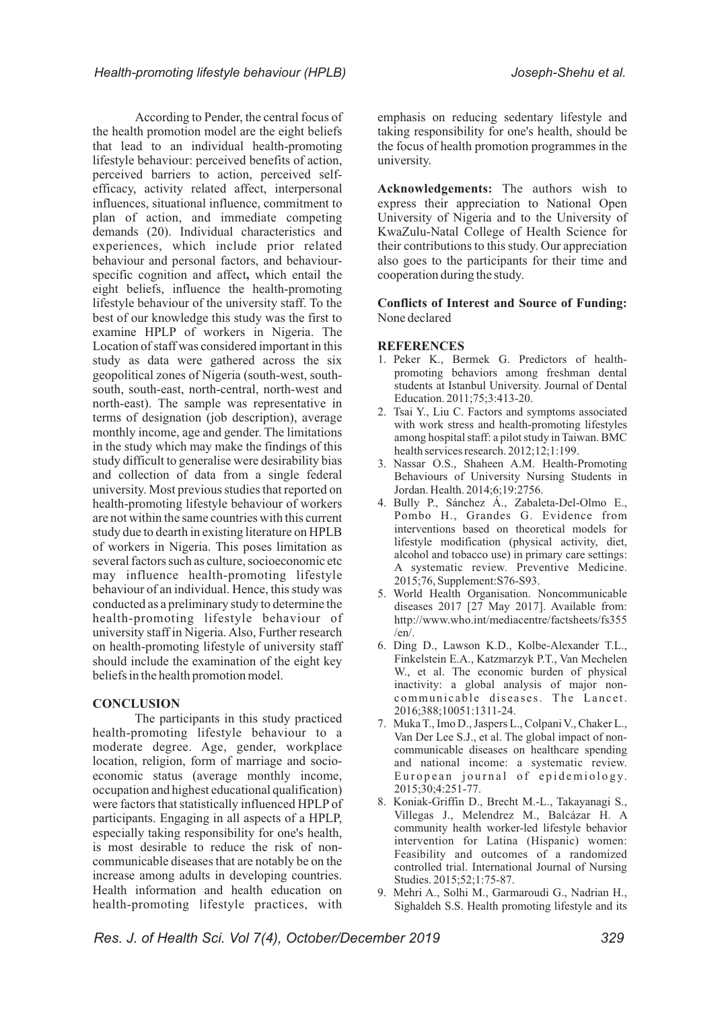According to Pender, the central focus of the health promotion model are the eight beliefs that lead to an individual health-promoting lifestyle behaviour: perceived benefits of action, perceived barriers to action, perceived selfefficacy, activity related affect, interpersonal influences, situational influence, commitment to plan of action, and immediate competing demands (20). Individual characteristics and experiences, which include prior related behaviour and personal factors, and behaviourspecific cognition and affect**,** which entail the eight beliefs, influence the health-promoting lifestyle behaviour of the university staff. To the best of our knowledge this study was the first to examine HPLP of workers in Nigeria. The Location of staff was considered important in this study as data were gathered across the six geopolitical zones of Nigeria (south-west, southsouth, south-east, north-central, north-west and north-east). The sample was representative in terms of designation (job description), average monthly income, age and gender. The limitations in the study which may make the findings of this study difficult to generalise were desirability bias and collection of data from a single federal university. Most previous studies that reported on health-promoting lifestyle behaviour of workers are not within the same countries with this current study due to dearth in existing literature on HPLB of workers in Nigeria. This poses limitation as several factors such as culture, socioeconomic etc may influence health-promoting lifestyle behaviour of an individual. Hence, this study was conducted as a preliminary study to determine the health-promoting lifestyle behaviour of university staff in Nigeria. Also, Further research on health-promoting lifestyle of university staff should include the examination of the eight key beliefs in the health promotion model.

# **CONCLUSION**

The participants in this study practiced health-promoting lifestyle behaviour to a moderate degree. Age, gender, workplace location, religion, form of marriage and socioeconomic status (average monthly income, occupation and highest educational qualification) were factors that statistically influenced HPLP of participants. Engaging in all aspects of a HPLP, especially taking responsibility for one's health, is most desirable to reduce the risk of noncommunicable diseases that are notably be on the increase among adults in developing countries. Health information and health education on health-promoting lifestyle practices, with emphasis on reducing sedentary lifestyle and taking responsibility for one's health, should be the focus of health promotion programmes in the university.

**Acknowledgements:** The authors wish to express their appreciation to National Open University of Nigeria and to the University of KwaZulu-Natal College of Health Science for their contributions to this study. Our appreciation also goes to the participants for their time and cooperation during the study.

# **Conflicts of Interest and Source of Funding:** None declared

# **REFERENCES**

- 1. Peker K., Bermek G. Predictors of healthpromoting behaviors among freshman dental students at Istanbul University. Journal of Dental Education. 2011;75;3:413-20.
- 2. Tsai Y., Liu C. Factors and symptoms associated with work stress and health-promoting lifestyles among hospital staff: a pilot study in Taiwan. BMC health services research. 2012;12;1:199.
- 3. Nassar O.S., Shaheen A.M. Health-Promoting Behaviours of University Nursing Students in Jordan. Health. 2014;6;19:2756.
- 4. Bully P., Sánchez Á., Zabaleta-Del-Olmo E., Pombo H., Grandes G. Evidence from interventions based on theoretical models for lifestyle modification (physical activity, diet, alcohol and tobacco use) in primary care settings: A systematic review. Preventive Medicine. 2015;76, Supplement:S76-S93.
- 5. World Health Organisation. Noncommunicable diseases 2017 [27 May 2017]. Available from: http://www.who.int/mediacentre/factsheets/fs355  $/en/$ .
- 6. Ding D., Lawson K.D., Kolbe-Alexander T.L., Finkelstein E.A., Katzmarzyk P.T., Van Mechelen W., et al. The economic burden of physical inactivity: a global analysis of major noncommunicable diseases. The Lancet. 2016;388;10051:1311-24.
- 7. Muka T., Imo D., Jaspers L., Colpani V., Chaker L., Van Der Lee S.J., et al. The global impact of noncommunicable diseases on healthcare spending and national income: a systematic review. European journal of epidemiology. 2015;30;4:251-77.
- 8. Koniak-Griffin D., Brecht M.-L., Takayanagi S., Villegas J., Melendrez M., Balcázar H. A community health worker-led lifestyle behavior intervention for Latina (Hispanic) women: Feasibility and outcomes of a randomized controlled trial. International Journal of Nursing Studies. 2015;52;1:75-87.
- 9. Mehri A., Solhi M., Garmaroudi G., Nadrian H., Sighaldeh S.S. Health promoting lifestyle and its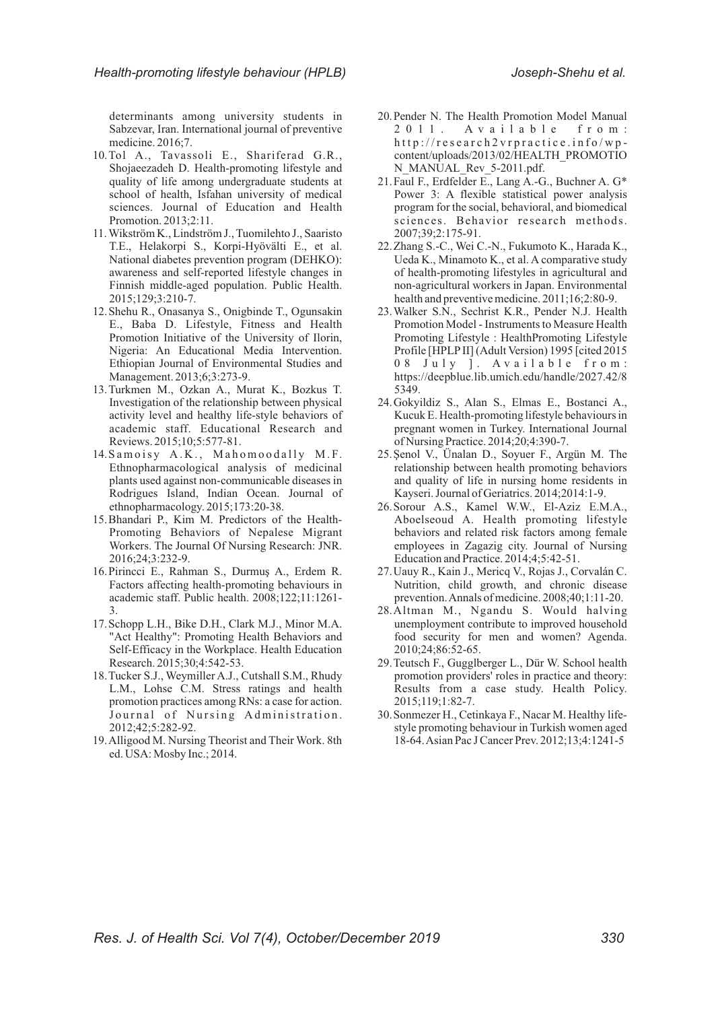determinants among university students in Sabzevar, Iran. International journal of preventive medicine. 2016;7.

- 10.Tol A., Tavassoli E., Shariferad G.R., Shojaeezadeh D. Health-promoting lifestyle and quality of life among undergraduate students at school of health, Isfahan university of medical sciences. Journal of Education and Health Promotion. 2013;2:11.
- 11.Wikström K., Lindström J., Tuomilehto J., Saaristo T.E., Helakorpi S., Korpi-Hyövälti E., et al. National diabetes prevention program (DEHKO): awareness and self-reported lifestyle changes in Finnish middle-aged population. Public Health. 2015;129;3:210-7.
- 12.Shehu R., Onasanya S., Onigbinde T., Ogunsakin E., Baba D. Lifestyle, Fitness and Health Promotion Initiative of the University of Ilorin, Nigeria: An Educational Media Intervention. Ethiopian Journal of Environmental Studies and Management. 2013;6;3:273-9.
- 13.Turkmen M., Ozkan A., Murat K., Bozkus T. Investigation of the relationship between physical activity level and healthy life-style behaviors of academic staff. Educational Research and Reviews. 2015;10;5:577-81.
- 14. Samoisy A.K., Mahomoodally M.F. Ethnopharmacological analysis of medicinal plants used against non-communicable diseases in Rodrigues Island, Indian Ocean. Journal of ethnopharmacology. 2015;173:20-38.
- 15.Bhandari P., Kim M. Predictors of the Health-Promoting Behaviors of Nepalese Migrant Workers. The Journal Of Nursing Research: JNR. 2016;24;3:232-9.
- 16. Pirincci E., Rahman S., Durmuş A., Erdem R. Factors affecting health-promoting behaviours in academic staff. Public health. 2008;122;11:1261- 3.
- 17.Schopp L.H., Bike D.H., Clark M.J., Minor M.A. "Act Healthy": Promoting Health Behaviors and Self-Efficacy in the Workplace. Health Education Research. 2015;30;4:542-53.
- 18.Tucker S.J., Weymiller A.J., Cutshall S.M., Rhudy L.M., Lohse C.M. Stress ratings and health promotion practices among RNs: a case for action. Journal of Nursing Administration. 2012;42;5:282-92.
- 19.Alligood M. Nursing Theorist and Their Work. 8th ed. USA: Mosby Inc.; 2014.
- 20.Pender N. The Health Promotion Model Manual 2 0 1 1 . A v a i l a b l e f r o m : http://research2vrpractice.info/wpcontent/uploads/2013/02/HEALTH\_PROMOTIO N\_MANUAL\_Rev\_5-2011.pdf.
- 21.Faul F., Erdfelder E., Lang A.-G., Buchner A. G\* Power 3: A flexible statistical power analysis program for the social, behavioral, and biomedical sciences. Behavior research methods. 2007;39;2:175-91.
- 22.Zhang S.-C., Wei C.-N., Fukumoto K., Harada K., Ueda K., Minamoto K., et al. A comparative study of health-promoting lifestyles in agricultural and non-agricultural workers in Japan. Environmental health and preventive medicine. 2011;16;2:80-9.
- 23.Walker S.N., Sechrist K.R., Pender N.J. Health Promotion Model - Instruments to Measure Health Promoting Lifestyle : HealthPromoting Lifestyle Profile [HPLPII] (Adult Version) 1995 [cited 2015 08 July ]. Available from: https://deepblue.lib.umich.edu/handle/2027.42/8 5349.
- 24.Gokyildiz S., Alan S., Elmas E., Bostanci A., Kucuk E. Health-promoting lifestyle behaviours in pregnant women in Turkey. International Journal of Nursing Practice. 2014;20;4:390-7.
- 25. Senol V., Ünalan D., Soyuer F., Argün M. The relationship between health promoting behaviors and quality of life in nursing home residents in Kayseri. Journal of Geriatrics. 2014;2014:1-9.
- 26.Sorour A.S., Kamel W.W., El-Aziz E.M.A., Aboelseoud A. Health promoting lifestyle behaviors and related risk factors among female employees in Zagazig city. Journal of Nursing Education and Practice. 2014;4;5:42-51.
- 27.Uauy R., Kain J., Mericq V., Rojas J., Corvalán C. Nutrition, child growth, and chronic disease prevention. Annals of medicine. 2008;40;1:11-20.
- 28.Altman M., Ngandu S. Would halving unemployment contribute to improved household food security for men and women? Agenda. 2010;24;86:52-65.
- 29.Teutsch F., Gugglberger L., Dür W. School health promotion providers' roles in practice and theory: Results from a case study. Health Policy. 2015;119;1:82-7.
- 30.Sonmezer H., Cetinkaya F., Nacar M. Healthy lifestyle promoting behaviour in Turkish women aged 18-64. Asian Pac J Cancer Prev. 2012;13;4:1241-5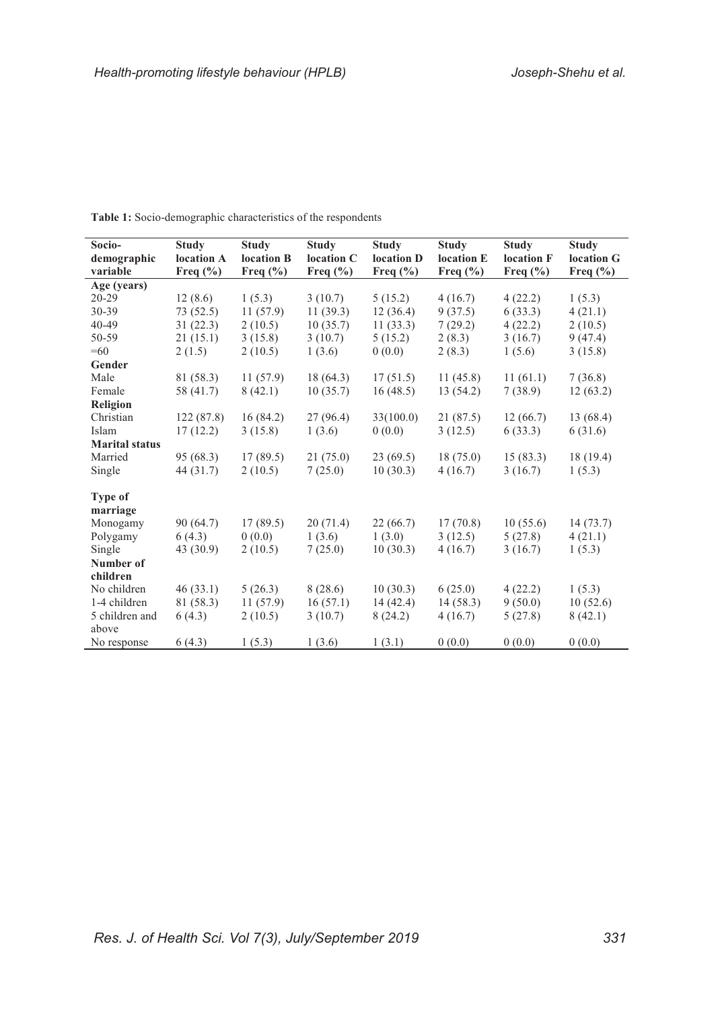| Socio-<br>demographic<br>variable | <b>Study</b><br>location A<br>Freq $(\% )$ | <b>Study</b><br>location B<br>Freq $(\% )$ | <b>Study</b><br>location C<br>Freq $(\% )$ | <b>Study</b><br>location D<br>Freq $(\% )$ | <b>Study</b><br>location E<br>Freq $(\% )$ | <b>Study</b><br>location F<br>Freq $(\% )$ | <b>Study</b><br>location G<br>Freq $(\% )$ |
|-----------------------------------|--------------------------------------------|--------------------------------------------|--------------------------------------------|--------------------------------------------|--------------------------------------------|--------------------------------------------|--------------------------------------------|
| Age (years)                       |                                            |                                            |                                            |                                            |                                            |                                            |                                            |
| $20 - 29$                         | 12(8.6)                                    | 1(5.3)                                     | 3(10.7)                                    | 5(15.2)                                    | 4(16.7)                                    | 4(22.2)                                    | 1(5.3)                                     |
| 30-39                             | 73(52.5)                                   | 11(57.9)                                   | 11(39.3)                                   | 12(36.4)                                   | 9(37.5)                                    | 6(33.3)                                    | 4(21.1)                                    |
| 40-49                             | 31(22.3)                                   | 2(10.5)                                    | 10(35.7)                                   | 11(33.3)                                   | 7(29.2)                                    | 4(22.2)                                    | 2(10.5)                                    |
| 50-59                             | 21(15.1)                                   | 3(15.8)                                    | 3(10.7)                                    | 5(15.2)                                    | 2(8.3)                                     | 3(16.7)                                    | 9(47.4)                                    |
| $=60$                             | 2(1.5)                                     | 2(10.5)                                    | 1(3.6)                                     | 0(0.0)                                     | 2(8.3)                                     | 1(5.6)                                     | 3(15.8)                                    |
| Gender                            |                                            |                                            |                                            |                                            |                                            |                                            |                                            |
| Male                              | 81 (58.3)                                  | 11(57.9)                                   | 18(64.3)                                   | 17(51.5)                                   | 11(45.8)                                   | 11(61.1)                                   | 7(36.8)                                    |
| Female                            | 58 (41.7)                                  | 8(42.1)                                    | 10(35.7)                                   | 16(48.5)                                   | 13(54.2)                                   | 7(38.9)                                    | 12(63.2)                                   |
| <b>Religion</b>                   |                                            |                                            |                                            |                                            |                                            |                                            |                                            |
| Christian                         | 122(87.8)                                  | 16(84.2)                                   | 27(96.4)                                   | 33(100.0)                                  | 21 (87.5)                                  | 12(66.7)                                   | 13 (68.4)                                  |
| Islam                             | 17(12.2)                                   | 3(15.8)                                    | 1(3.6)                                     | 0(0.0)                                     | 3(12.5)                                    | 6(33.3)                                    | 6(31.6)                                    |
| <b>Marital status</b>             |                                            |                                            |                                            |                                            |                                            |                                            |                                            |
| Married                           | 95 (68.3)                                  | 17(89.5)                                   | 21(75.0)                                   | 23(69.5)                                   | 18(75.0)                                   | 15(83.3)                                   | 18 (19.4)                                  |
| Single                            | 44 (31.7)                                  | 2(10.5)                                    | 7(25.0)                                    | 10(30.3)                                   | 4(16.7)                                    | 3(16.7)                                    | 1(5.3)                                     |
| Type of                           |                                            |                                            |                                            |                                            |                                            |                                            |                                            |
| marriage                          |                                            |                                            |                                            |                                            |                                            |                                            |                                            |
| Monogamy                          | 90 (64.7)                                  | 17(89.5)                                   | 20(71.4)                                   | 22(66.7)                                   | 17(70.8)                                   | 10(55.6)                                   | 14(73.7)                                   |
| Polygamy                          | 6(4.3)                                     | 0(0.0)                                     | 1(3.6)                                     | 1(3.0)                                     | 3(12.5)                                    | 5(27.8)                                    | 4(21.1)                                    |
| Single                            | 43 (30.9)                                  | 2(10.5)                                    | 7(25.0)                                    | 10(30.3)                                   | 4(16.7)                                    | 3(16.7)                                    | 1(5.3)                                     |
| Number of                         |                                            |                                            |                                            |                                            |                                            |                                            |                                            |
| children                          |                                            |                                            |                                            |                                            |                                            |                                            |                                            |
| No children                       | 46(33.1)                                   | 5(26.3)                                    | 8(28.6)                                    | 10(30.3)                                   | 6(25.0)                                    | 4(22.2)                                    | 1(5.3)                                     |
| 1-4 children                      | 81 (58.3)                                  | 11(57.9)                                   | 16(57.1)                                   | 14(42.4)                                   | 14(58.3)                                   | 9(50.0)                                    | 10(52.6)                                   |
| 5 children and                    | 6(4.3)                                     | 2(10.5)                                    | 3(10.7)                                    | 8(24.2)                                    | 4(16.7)                                    | 5(27.8)                                    | 8(42.1)                                    |
| above                             |                                            |                                            |                                            |                                            |                                            |                                            |                                            |
| No response                       | 6(4.3)                                     | 1(5.3)                                     | 1(3.6)                                     | 1(3.1)                                     | 0(0.0)                                     | 0(0.0)                                     | 0(0.0)                                     |

**Table 1:** Socio-demographic characteristics of the respondents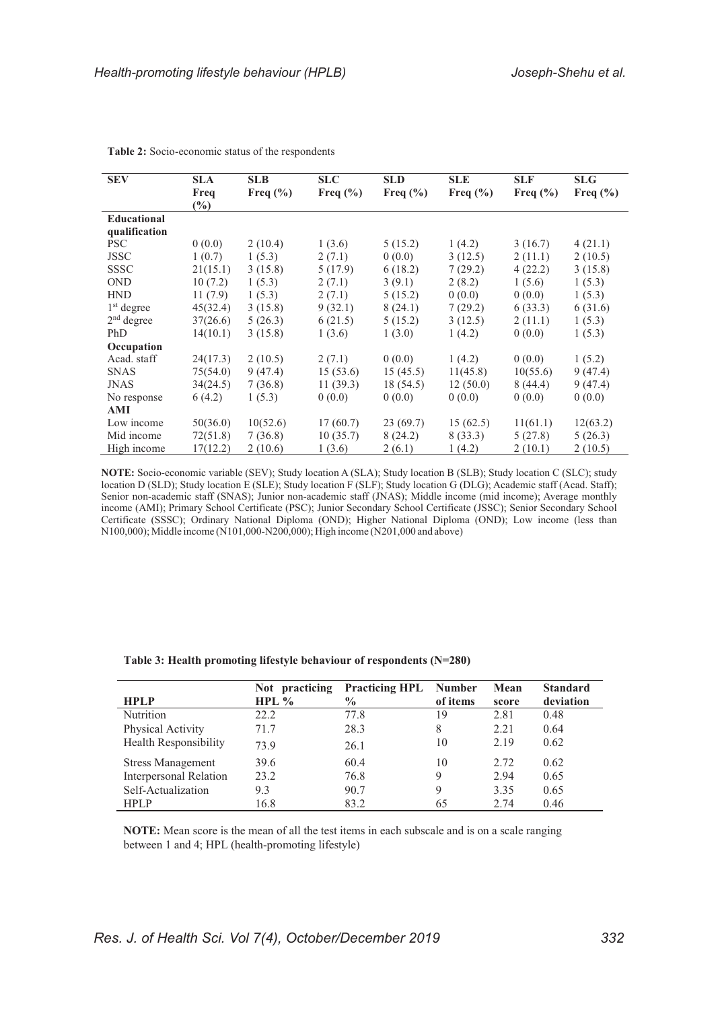| <b>SEV</b>         | <b>SLA</b> | <b>SLB</b>   | SLC          | <b>SLD</b>                      | <b>SLE</b>   | <b>SLF</b>   | <b>SLG</b>   |
|--------------------|------------|--------------|--------------|---------------------------------|--------------|--------------|--------------|
|                    | Freq       | Freq $(\% )$ | Freq $(\% )$ | Freq $\left(\frac{9}{6}\right)$ | Freq $(\% )$ | Freq $(\% )$ | Freq $(\% )$ |
|                    | $(\%)$     |              |              |                                 |              |              |              |
| <b>Educational</b> |            |              |              |                                 |              |              |              |
| qualification      |            |              |              |                                 |              |              |              |
| <b>PSC</b>         | 0(0.0)     | 2(10.4)      | 1(3.6)       | 5(15.2)                         | 1(4.2)       | 3(16.7)      | 4(21.1)      |
| <b>JSSC</b>        | 1(0.7)     | 1(5.3)       | 2(7.1)       | 0(0.0)                          | 3(12.5)      | 2(11.1)      | 2(10.5)      |
| <b>SSSC</b>        | 21(15.1)   | 3(15.8)      | 5 (17.9)     | 6(18.2)                         | 7(29.2)      | 4(22.2)      | 3(15.8)      |
| <b>OND</b>         | 10(7.2)    | 1(5.3)       | 2(7.1)       | 3(9.1)                          | 2(8.2)       | 1(5.6)       | 1(5.3)       |
| <b>HND</b>         | 11(7.9)    | 1(5.3)       | 2(7.1)       | 5(15.2)                         | 0(0.0)       | 0(0.0)       | 1(5.3)       |
| $1st$ degree       | 45(32.4)   | 3(15.8)      | 9(32.1)      | 8(24.1)                         | 7(29.2)      | 6(33.3)      | 6(31.6)      |
| $2nd$ degree       | 37(26.6)   | 5(26.3)      | 6(21.5)      | 5(15.2)                         | 3(12.5)      | 2(11.1)      | 1(5.3)       |
| PhD                | 14(10.1)   | 3(15.8)      | 1(3.6)       | 1(3.0)                          | 1(4.2)       | 0(0.0)       | 1(5.3)       |
| Occupation         |            |              |              |                                 |              |              |              |
| Acad. staff        | 24(17.3)   | 2(10.5)      | 2(7.1)       | 0(0.0)                          | 1(4.2)       | 0(0.0)       | 1(5.2)       |
| <b>SNAS</b>        | 75(54.0)   | 9(47.4)      | 15(53.6)     | 15(45.5)                        | 11(45.8)     | 10(55.6)     | 9(47.4)      |
| <b>JNAS</b>        | 34(24.5)   | 7(36.8)      | 11(39.3)     | 18 (54.5)                       | 12(50.0)     | 8(44.4)      | 9(47.4)      |
| No response        | 6(4.2)     | 1(5.3)       | 0(0.0)       | 0(0.0)                          | 0(0.0)       | 0(0.0)       | 0(0.0)       |
| AMI                |            |              |              |                                 |              |              |              |
| Low income         | 50(36.0)   | 10(52.6)     | 17(60.7)     | 23(69.7)                        | 15(62.5)     | 11(61.1)     | 12(63.2)     |
| Mid income         | 72(51.8)   | 7(36.8)      | 10(35.7)     | 8(24.2)                         | 8(33.3)      | 5(27.8)      | 5(26.3)      |
| High income        | 17(12.2)   | 2(10.6)      | 1(3.6)       | 2(6.1)                          | 1(4.2)       | 2(10.1)      | 2(10.5)      |

**Table 2:** Socio-economic status of the respondents

**NOTE:** Socio-economic variable (SEV); Study location A (SLA); Study location B (SLB); Study location C (SLC); study location D (SLD); Study location E (SLE); Study location F (SLF); Study location G (DLG); Academic staff (Acad. Staff); Senior non-academic staff (SNAS); Junior non-academic staff (JNAS); Middle income (mid income); Average monthly income (AMI); Primary School Certificate (PSC); Junior Secondary School Certificate (JSSC); Senior Secondary School Certificate (SSSC); Ordinary National Diploma (OND); Higher National Diploma (OND); Low income (less than N100,000); Middle income (N101,000-N200,000); High income (N201,000 and above)

|                               | Not practicing | <b>Practicing HPL</b> | <b>Number</b> | Mean  | <b>Standard</b> |
|-------------------------------|----------------|-----------------------|---------------|-------|-----------------|
| <b>HPLP</b>                   | $HPL$ %        | $\frac{0}{0}$         | of items      | score | deviation       |
| Nutrition                     | 22.2           | 77.8                  | 19            | 2.81  | 0.48            |
| Physical Activity             | 71.7           | 28.3                  | 8             | 2.21  | 0.64            |
| <b>Health Responsibility</b>  | 73.9           | 26.1                  | 10            | 2.19  | 0.62            |
| <b>Stress Management</b>      | 39.6           | 60.4                  | 10            | 2.72  | 0.62            |
| <b>Interpersonal Relation</b> | 23.2           | 76.8                  | 9             | 2.94  | 0.65            |
| Self-Actualization            | 9.3            | 90.7                  | 9             | 3.35  | 0.65            |
| <b>HPLP</b>                   | 16.8           | 83.2                  | 65            | 2.74  | 0.46            |

#### **Table 3: Health promoting lifestyle behaviour of respondents (N=280)**

**NOTE:** Mean score is the mean of all the test items in each subscale and is on a scale ranging between 1 and 4; HPL (health-promoting lifestyle)